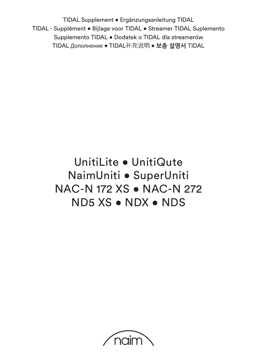TIDAL Supplement • Ergänzungsanleitung TIDAL TIDAL - Supplément • Bijlage voor TIDAL • Streamer TIDAL Suplemento Supplemento TIDAL • Dodatek o TIDAL dla streamerów TIDAL Дополнение **•** TIDAL补充说明 **• 보충 설명서** TIDAL

# UnitiLite • UnitiQute NaimUniti • SuperUniti NAC-N 172 XS • NAC-N 272 ND5 XS • NDX • NDS

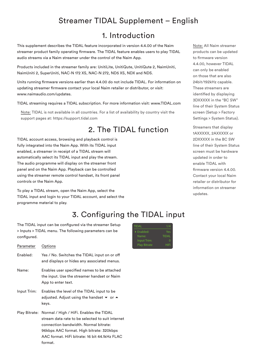# Streamer TIDAL Supplement – English

#### 1. Introduction

This supplement describes the TIDAL feature incorporated in version 4.4.00 of the Naim streamer product family operating firmware. The TIDAL feature enables users to play TIDAL audio streams via a Naim streamer under the control of the Naim App.

Products included in the streamer family are: UnitiLite, UnitiQute, UnitiQute 2, NaimUniti, NaimUniti 2, SuperUniti, NAC-N 172 XS, NAC-N 272, ND5 XS, NDX and NDS.

Units running firmware versions earlier than 4.4.00 do not include TIDAL. For information on updating streamer firmware contact your local Naim retailer or distributor, or visit: www.naimaudio.com/updates.

TIDAL streaming requires a TIDAL subscription. For more information visit: www.TIDAL.com

Note: TIDAL is not available in all countries. For a list of availability by country visit the support pages at: https://support.tidal.com

# 2. The TIDAL function

TIDAL account access, browsing and playback control is fully integrated into the Naim App. With its TIDAL input enabled, a streamer in receipt of a TIDAL stream will automatically select its TIDAL input and play the stream. The audio programme will display on the streamer front panel and on the Naim App. Playback can be controlled using the streamer remote control handset, its front panel controls or the Naim App.

To play a TIDAL stream, open the Naim App, select the TIDAL input and login to your TIDAL account, and select the programme material to play.

# 3. Configuring the TIDAL input

The TIDAL input can be configured via the streamer Setup > Inputs > TIDAL menu. The following parameters can be configured.

| Parameter   | Options                                                                                                                                            |
|-------------|----------------------------------------------------------------------------------------------------------------------------------------------------|
| Enabled:    | Yes / No. Switches the TIDAL input on or off<br>and displays or hides any associated menus.                                                        |
| Name:       | Enables user specified names to be attached<br>the input. Use the streamer handset or Naim<br>App to enter text.                                   |
| Input Trim: | Enables the level of the TIDAL input to be<br>adjusted. Adjust using the handset $\blacktriangleright$ or $\blacktriangle$<br>keys.                |
|             | Play Bitrate: Normal / High / HiFi. Enables the TIDAL<br>stream data rate to be selected to suit internet<br>connection bandwidth. Normal bitrate: |

96kbps AAC format. High bitrate: 320kbps AAC format. HiFi bitrate: 16 bit 44.1kHz FLAC format.



Note: All Naim streamer products can be updated to firmware version 4.4.00, however TIDAL can only be enabled on those that are also 24bit/192kHz capable. These streamers are identified by displaying 3DXXXXX in the "BC SW" line of their System Status screen (Setup > Factory Settings > System Status).

Streamers that display 1AXXXXX, 2AXXXXX or 2DXXXXX in the BC SW line of their System Status screen must be hardware updated in order to enable TIDAL with firmware version 4.4.00. Contact your local Naim retailer or distributor for information on streamer updates.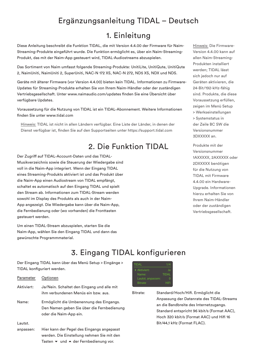# Ergänzungsanleitung TIDAL – Deutsch

#### 1. Einleitung

Diese Anleitung beschreibt die Funktion TIDAL, die mit Version 4.4.00 der Firmware für Naim-Streaming-Produkte eingeführt wurde. Die Funktion ermöglicht es, über ein Naim-Streaming-Produkt, das mit der Naim-App gesteuert wird, TIDAL-Audiostreams abzuspielen.

Das Sortiment von Naim umfasst folgende Streaming-Produkte: UnitiLite, UnitiQute, UnitiQute 2, NaimUniti, NaimUniti 2, SuperUniti, NAC-N 172 XS, NAC-N 272, ND5 XS, NDX und NDS.

Geräte mit älterer Firmware (vor Version 4.4.00) bieten kein TIDAL. Informationen zu Firmware-Updates für Streaming-Produkte erhalten Sie von Ihrem Naim-Händler oder der zuständigen Vertriebsgesellschaft. Unter www.naimaudio.com/updates finden Sie eine Übersicht über verfügbare Updates.

Voraussetzung für die Nutzung von TIDAL ist ein TIDAL-Abonnement. Weitere Informationen finden Sie unter www.tidal.com

Hinweis: TIDAL ist nicht in allen Ländern verfügbar. Eine Liste der Länder, in denen der Dienst verfügbar ist, finden Sie auf den Supportseiten unter https://support.tidal.com

# 2. Die Funktion TIDAL

Der Zugriff auf TIDAL-Account-Daten und das TIDAL-Musikverzeichnis sowie die Steuerung der Wiedergabe sind voll in die Naim-App integriert. Wenn der Eingang TIDAL eines Streaming-Produkts aktiviert ist und das Produkt über die Naim-App einen Audiostream von TIDAL empfängt, schaltet es automatisch auf den Eingang TIDAL und spielt den Stream ab. Informationen zum TIDAL-Stream werden sowohl im Display des Produkts als auch in der Naim-App angezeigt. Die Wiedergabe kann über die Naim-App, die Fernbedienung oder (wo vorhanden) die Fronttasten gesteuert werden.

Um einen TIDAL-Stream abzuspielen, starten Sie die Naim-App, wählen Sie den Eingang TIDAL und dann das gewünschte Programmmaterial.

Hinweis: Die Firmware-Version 4.4.00 kann auf allen Naim-Streaming-Produkten installiert werden; TIDAL lässt sich jedoch nur auf Geräten aktivieren, die 24-Bit/192-kHz-fähig sind. Produkte, die diese Voraussetzung erfüllen, zeigen im Menü Setup > Werkseinstellungen > Systemstatus in der Zeile BC SW die Versionsnummer 3DXXXXX an.

Produkte mit der Versionsnummer 1AXXXXX, 2AXXXXX oder 2DXXXXX benötigen für die Nutzung von TIDAL mit Firmware 4.4.00 ein Hardware-Upgrade. Informationen hierzu erhalten Sie von Ihrem Naim-Händler oder der zuständigen Vertriebsgesellschaft.

# 3. Eingang TIDAL konfigurieren

Der Eingang TIDAL kann über das Menü Setup > Eingänge > TIDAL konfiguriert werden.

| Parameter  | Optionen                                                                                                         |
|------------|------------------------------------------------------------------------------------------------------------------|
| Aktiviert: | Ja/Nein. Schaltet den Eingang und alle mit<br>ihm verbundenen Menüs ein bzw. aus.                                |
| Name:      | Ermöglicht die Umbenennung des Eingangs.<br>Den Namen geben Sie über die Fernbedienung<br>oder die Naim-App ein. |
| Lautst.    |                                                                                                                  |
| anpassen:  | Hier kann der Pegel des Eingangs angepasst<br>werden. Die Einstellung nehmen Sie mit den                         |

Tasten  $\blacktriangleright$  und  $\blacktriangle$  der Fernbedienung vor.



Bitrate: Standard/Hoch/Hifi. Ermöglicht die Anpassung der Datenrate des TIDAL-Streams an die Bandbreite des Internetzugangs. Standard entspricht 96 kbit/s (Format AAC), Hoch 320 kbit/s (Format AAC) und Hifi 16 Bit/44,1 kHz (Format FLAC).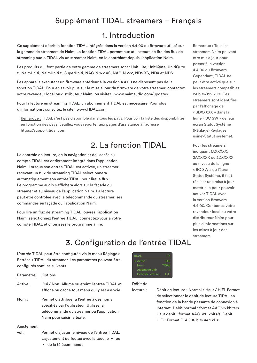# Supplément TIDAL streamers – Français

### 1. Introduction

Ce supplément décrit la fonction TIDAL intégrée dans la version 4.4.00 du firmware utilisé sur la gamme de streamers de Naim. La fonction TIDAL permet aux utilisateurs de lire des flux de streaming audio TIDAL via un streamer Naim, en le contrôlant depuis l'application Naim.

Les produits qui font partie de cette gamme de streamers sont : UnitiLite, UnitiQute, UnitiQute 2, NaimUniti, NaimUniti 2, SuperUniti, NAC-N 172 XS, NAC-N 272, ND5 XS, NDX et NDS.

Les appareils exécutant un firmware antérieur à la version 4.4.00 ne disposent pas de la fonction TIDAL. Pour en savoir plus sur la mise à jour du firmware de votre streamer, contactez votre revendeur local ou distributeur Naim, ou visitez : www.naimaudio.com/updates.

Pour la lecture en streaming TIDAL, un abonnement TIDAL est nécessaire. Pour plus d'informations, consultez le site : www.TIDAL.com

Remarque : TIDAL n'est pas disponible dans tous les pays. Pour voir la liste des disponibilités en fonction des pays, veuillez vous reporter aux pages d'assistance à l'adresse https://support.tidal.com

# 2. La fonction TIDAL

Le contrôle de lecture, de la navigation et de l'accès au compte TIDAL est entièrement intégré dans l'application Naim. Lorsque son entrée TIDAL est activée, un streamer recevant un flux de streaming TIDAL sélectionnera automatiquement son entrée TIDAL pour lire le flux. Le programme audio s'affichera alors sur la façade du streamer et au niveau de l'application Naim. La lecture peut être contrôlée avec la télécommande du streamer, ses commandes en façade ou l'application Naim.

Pour lire un flux de streaming TIDAL, ouvrez l'application Naim, sélectionnez l'entrée TIDAL, connectez-vous à votre compte TIDAL et choisissez le programme à lire.

Remarque : Tous les streamers Naim peuvent être mis à jour pour passer à la version 4.4.00 du firmware. Cependant, TIDAL ne peut être activé que sur les streamers compatibles 24 bits/192 kHz. Ces streamers sont identifiés par l'affichage de « 3DXXXXX » dans la ligne « BC SW » de leur écran Statut Système (Réglage>Réglages usine>Statut système).

Pour les streamers indiquant 1AXXXXX. 2AXXXXX ou 2DXXXXX au niveau de la ligne « BC SW » de l'écran Statut Système, il faut réaliser une mise à jour matérielle pour pouvoir activer TIDAL avec la version firmware 4.4.00. Contactez votre revendeur local ou votre distributeur Naim pour plus d'informations sur les mises à jour des streamers.

# 3. Configuration de l'entrée TIDAL

L'entrée TIDAL peut être configurée via le menu Réglage > Entrées > TIDAL du streamer. Les paramètres pouvant être configurés sont les suivants.

| Paramètre | Options                                                                                                                                                                                                 |
|-----------|---------------------------------------------------------------------------------------------------------------------------------------------------------------------------------------------------------|
| Activé :  | Oui / Non. Allume ou éteint l'entrée TIDAL et<br>affiche ou cache tout menu qui y est associé.                                                                                                          |
| Nom :     | Permet d'attribuer à l'entrée à des noms<br>spécifiés par l'utilisateur. Utilisez la<br>the contract of the contract of the contract of the contract of the contract of the contract of the contract of |

télécommande du streamer ou l'application Naim pour saisir le texte.

#### Ajustement

vol : Permet d'ajuster le niveau de l'entrée TIDAL. L'ajustement s'effectue avec la touche  $\bullet$  ou 5 de la télécommande.



#### Débit de

lecture : Débit de lecture : Normal / Haut / HiFi. Permet de sélectionner le débit de lecture TIDAL en fonction de la bande passante de connexion à Internet. Débit normal : format AAC 96 kbits/s. Haut débit : format AAC 320 kbits/s. Débit HiFi : Format FLAC 16 bits 44,1 kHz.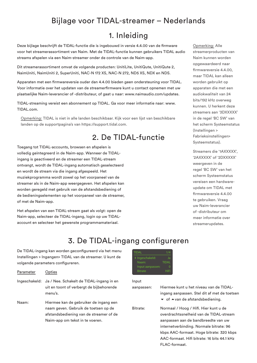### Bijlage voor TIDAL-streamer – Nederlands

#### 1. Inleiding

Deze bijlage beschrijft de TIDAL-functie die is ingebouwd in versie 4.4.00 van de firmware voor het streamerassortiment van Naim. Met de TIDAL-functie kunnen gebruikers TIDAL audio streams afspelen via een Naim-streamer onder de controle van de Naim-app.

Dit streamerassortiment omvat de volgende producten: UnitiLite, UnitiQute, UnitiQute 2, NaimUniti, NaimUniti 2, SuperUniti, NAC-N 172 XS, NAC-N 272, ND5 XS, NDX en NDS.

Apparaten met een firmwareversie ouder dan 4.4.00 bieden geen ondersteuning voor TIDAL. Voor informatie over het updaten van de streamerfirmware kunt u contact opnemen met uw plaatselijke Naim-leverancier of -distributeur, of gaat u naar: www.naimaudio.com/updates.

TIDAL-streaming vereist een abonnement op TIDAL. Ga voor meer informatie naar: www. TIDAL.com.

Opmerking: TIDAL is niet in alle landen beschikbaar. Kijk voor een lijst van beschikbare landen op de supportpagina's van https://support.tidal.com.

# 2. De TIDAL-functie

Toegang tot TIDAL-accounts, browsen en afspelen is volledig geïntegreerd in de Naim-app. Wanneer de TIDALingang is geactiveerd en de streamer een TIDAL-stream ontvangt, wordt de TIDAL-ingang automatisch geselecteerd en wordt de stream via die ingang afgespeeld. Het muziekprogramma wordt zowel op het voorpaneel van de streamer als in de Naim-app weergegeven. Het afspelen kan worden geregeld met gebruik van de afstandsbediening of de bedieningselementen op het voorpaneel van de streamer, of met de Naim-app.

Het afspelen van een TIDAL-stream gaat als volgt: open de Naim-app, selecteer de TIDAL-ingang, login op uw TIDALaccount en selecteer het gewenste programmamateriaal.

Opmerking: Alle streamerproducten van Naim kunnen worden opgewaardeerd naar firmwareversie 4.4.00, maar TIDAL kan alleen worden gebruikt op apparaten die met een audiokwaliteit van 24 bits/192 kHz overweg kunnen. U herkent deze streamers aan '3DXXXXX' in de regel 'BC SW' van het scherm Systeemstatus (Instellingen > Fabrieksinstellingen> Systeemstatus).

Streamers die '1AXXXXX', '2AXXXXX' of '2DXXXXX' weergeven in de regel 'BC SW' van het scherm Systeemstatus vereisen een hardwareupdate om TIDAL met firmwareversie 4.4.00 te gebruiken. Vraag uw Naim-leverancier of -distributeur om meer informatie over streamerupdates.

# 3. De TIDAL-ingang configureren

De TIDAL-ingang kan worden geconfigureerd via het menu Instellingen > Ingangen> TIDAL van de streamer. U kunt de volgende parameters configureren.

| Parameter | Opties                                                                                                        |
|-----------|---------------------------------------------------------------------------------------------------------------|
|           | Ingeschakeld: Ja / Nee. Schakelt de TIDAL-ingang in en<br>uit en toont of verbergt de bijbehorende<br>menu's. |
| Naam:     | Hiermee kan de gebruiker de ingang een                                                                        |

naam geven. Gebruik de toetsen op de afstandsbediening van de streamer of de Naim-app om tekst in te voeren.



#### Input

| aanpassen: | Hiermee kunt u het niveau van de TIDAL-<br>ingang aanpassen. Stel dit af met de toetsen<br>$\bullet$ of $\bullet$ van de afstandsbediening.                                                                                                                                    |
|------------|--------------------------------------------------------------------------------------------------------------------------------------------------------------------------------------------------------------------------------------------------------------------------------|
| Bitrate:   | Normaal / Hoog / Hifi. Hier kunt u de<br>overdrachtssnelheid van de TIDAL-stream<br>aanpassen aan de bandbreedte van uw<br>internetverbinding. Normale bitrate: 96<br>kbps AAC-formaat. Hoge bitrate: 320 kbps<br>AAC-formaat. Hifi bitrate: 16 bits 44.1 kHz<br>FLAC-formaat. |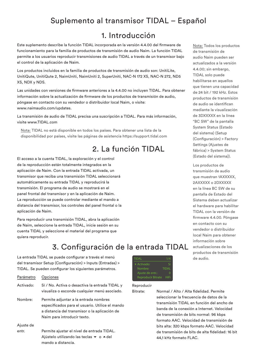# Suplemento al transmisor TIDAL – Español

#### 1. Introducción

Este suplemento describe la función TIDAL incorporada en la versión 4.4.00 del firmware de funcionamiento para la familia de productos de transmisión de audio Naim. La función TIDAL permite a los usuarios reproducir transmisiones de audio TIDAL a través de un transmisor bajo el control de la aplicación de Naim.

Los productos incluidos en la familia de productos de transmisión de audio son: UnitiLite, UnitiQute, UnitiQute 2, NaimUniti, NaimUniti 2, SuperUniti, NAC-N 172 XS, NAC-N 272, ND5 XS, NDX y NDS.

Las unidades con versiones de firmware anteriores a la 4.4.00 no incluyen TIDAL. Para obtener información sobre la actualización de firmware de los productos de transmisión de audio, póngase en contacto con su vendedor o distribuidor local Naim, o visite: www.naimaudio.com/updates.

La transmisión de audio de TIDAL precisa una suscripción a TIDAL. Para más información, visite www.TIDAL.com

Nota: TIDAL no está disponible en todos los países. Para obtener una lista de la disponibilidad por países, visite las páginas de asistencia https://support.tidal.com

# 2. La función TIDAL

El acceso a la cuenta TIDAL, la exploración y el control de la reproducción están totalmente integrados en la aplicación de Naim. Con la entrada TIDAL activada, un transmisor que reciba una transmisión TIDAL seleccionará automáticamente su entrada TIDAL y reproducirá la transmisión. El programa de audio se mostrará en el panel frontal del transmisor y en la aplicación de Naim. La reproducción se puede controlar mediante el mando a distancia del transmisor, los controles del panel frontal o la aplicación de Naim.

Para reproducir una transmisión TIDAL, abra la aplicación de Naim, seleccione la entrada TIDAL, inicie sesión en su cuenta TIDAL y seleccione el material del programa que quiera reproducir.

# 3. Configuración de la entrada TIDAL

La entrada TIDAL se puede configurar a través el menú del transmisor Setup (Configuración) > Inputs (Entradas) > TIDAL. Se pueden configurar los siguientes parámetros.

| Opciones                                                                                                                                                                 |
|--------------------------------------------------------------------------------------------------------------------------------------------------------------------------|
| Sí / No. Activa o desactiva la entrada TIDAL y<br>visualiza o esconde cualquier menú asociado.                                                                           |
| Permite adjuntar a la entrada nombres<br>especificados para el usuario. Utilice el mando<br>a distancia del transmisor o la aplicación de<br>Naim para introducir texto. |
|                                                                                                                                                                          |
| Permite ajustar el nivel de entrada TIDAL.<br>Ajústelo utilizando las teclas $\bullet$ o $\bullet$ del                                                                   |
|                                                                                                                                                                          |

mando a distancia.



#### Reproducir

Bitrate: Normal / Alto / Alta fidelidad. Permite seleccionar la frecuencia de datos de la transmisión TIDAL en función del ancho de banda de la conexión a Internet. Velocidad de transmisión de bits normal: 96 kbps formato AAC. Velocidad de transmisión de bits alta: 320 kbps formato AAC. Velocidad de transmisión de bits de alta fidelidad: 16 bit 44,1 kHz formato FLAC.

Nota: Todos los productos de transmisión de audio Naim pueden ser actualizados a la versión 4.4.00; sin embargo, TIDAL solo puede habilitarse en aquellos que tienen una capacidad de 24 bit / 192 kHz. Estos productos de transmisión de audio se identifican mediante la visualización de 3DXXXXX en la línea "BC SW" de la pantalla System Status (Estado del sistema) (Setup (Configuración) > Factory Settings (Ajustes de fábrica) > System Status (Estado del sistema)).

Los productos de transmisión de audio que muestran 1AXXXXX. 2AXXXXX o 2DXXXXX en la línea BC SW de su pantalla de Estado del Sistema deben actualizar el hardware para habilitar TIDAL con la versión de firmware 4.4.00. Póngase en contacto con su vendedor o distribuidor local Naim para obtener información sobre actualizaciones de los productos de transmisión de audio.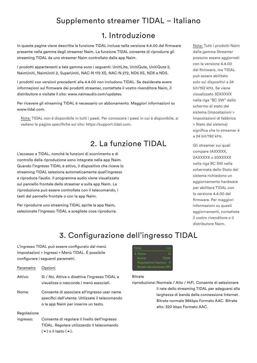### Supplemento streamer TIDAL – Italiano

#### 1. Introduzione

In queste pagine viene descritta la funzione TIDAL inclusa nella versione 4.4.00 del firmware presente nella gamma degli streamer Naim. La funzione TIDAL consente di riprodurre gli streaming TIDAL da uno streamer Naim controllato dalla app Naim.

I prodotti appartenenti a tale gamma sono i seguenti: UnitiLite, UnitiQute, UnitiQute 2, NaimUniti, NaimUniti 2, SuperUniti, NAC-N 172 XS, NAC-N 272, ND5 XS, NDX e NDS.

I prodotti con versioni precedenti alla 4.4.00 non includono TIDAL. Se desiderate avere informazioni sul firmware dei prodotti streamer, contattate il vostro rivenditore Naim, il distributore o visitate il sito: www.naimaudio.com/updates.

Per ricevere gli streaming TIDAL è necessario un abbonamento. Maggiori informazioni su www.tidal.com.

Nota: TIDAL non è disponibile in tutti i paesi. Per conoscere i paesi in cui è disponibile, si vedano le pagine specifiche sul sito: https://support.tidal.com.

### 2. La funzione TIDAL

L'accesso a TIDAL, nonché le funzioni di scorrimento e di controllo della riproduzione sono integrate nella app Naim. Quando l'ingresso TIDAL è attivo, il dispositivo che riceve lo streaming TIDAL seleziona automaticamente quell'ingresso e riproduce l'audio. Il programma audio viene visualizzato sul pannello frontale dello streamer e sulla app Naim. La riproduzione può essere controllata con il telecomando, i tasti del pannello frontale o con la app Naim.

Per riprodurre uno streaming TIDAL aprite la app Naim, selezionate l'ingresso TIDAL e scegliete cosa riprodurre.

Nota: Tutti i prodotti Naim della gamma Streamer possono essere aggiornati con la versione 4.4.00 del firmware, ma TIDAL può essere abilitato solo sui dispositivi a 24 bit/192 kHz. Se viene visualizzato 3DXXXXX nella riga "BC SW" dello schermo di stato del sistema (Impostazioni > Impostazioni di fabbrica > Stato del sistema) significa che lo streamer è a 24 bit/192 kHz.

Gli streamer sui quali compare 1AXXXXX, 2AXXXXX o 2DXXXXX nella riga BC SW nella schermata dello Stato del sistema richiedono un aggiornamento hardware per abilitare TIDAL con la versione 4.4.00 del firmware. Per maggiori informazioni su questi aggiornamenti, contattate il vostro rivenditore o il distributore Naim.

# 3. Configurazione dell'ingresso TIDAL

L'ingresso TIDAL può essere configurato dal menù Impostazioni > Ingressi > Menù TIDAL. È possibile configurare i seguenti parametri.

| Parametro Opzioni |                                                                                           |
|-------------------|-------------------------------------------------------------------------------------------|
| Attivo:           | Sì / No. Attiva o disattiva l'ingresso TIDAL e<br>visualizza o nasconde i menù associati. |
| Nomo:             | Consonto di essociaro all'ingresso usor nam-                                              |

Nome: Consente di associare all'ingresso user name specifici dell'utente. Utilizzate il telecomando o la app Naim per inserire un testo.

#### Regolazione

ingresso: Consente di regolare il livello dell'ingresso TIDAL. Regolare utilizzando il telecomando  $(\blacktriangleright)$  o il tasto  $(\blacktriangle)$ .



#### Bitrate

riproduzione: Normale / Alto / HiFi. Consente di selezionare il rate dello streaming TIDAL per adeguarsi alla larghezza di banda della connessione Internet. Bitrate normale 96kbps Formato AAC. Bitrate alto: 320 kbps Formato AAC.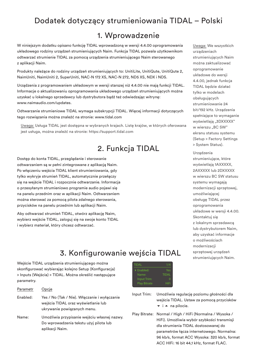# Dodatek dotyczący strumieniowania TIDAL – Polski

# 1. Wprowadzenie

W niniejszym dodatku opisano funkcję TIDAL wprowadzoną w wersji 4.4.00 oprogramowania układowego rodziny urządzeń strumieniujących Naim. Funkcja TIDAL pozwala użytkownikom odtwarzać strumienie TIDAL za pomocą urządzenia strumieniującego Naim sterowanego z aplikacji Naim.

Produkty należące do rodziny urządzeń strumieniujących to: UnitiLite, UnitiQute, UnitiQute 2, NaimUniti, NaimUniti 2, SuperUniti, NAC-N 172 XS, NAC-N 272, ND5 XS, NDX i NDS.

Urządzenia z programowaniem układowym w wersji starszej niż 4.4.00 nie mają funkcji TIDAL. Informacje o aktualizowaniu oprogramowania układowego urządzeń strumieniujących można uzyskać u lokalnego sprzedawcy lub dystrybutora bądź też odwiedzając witrynę: www.naimaudio.com/updates.

Odtwarzanie strumieniowe TIDAL wymaga subskrypcji TIDAL. Więcej informacji dotyczących tego rozwiązania można znaleźć na stronie: www.tidal.com

Uwaga: Usługa TIDAL jest dostępna w wybranych krajach. Listę krajów, w których oferowana jest usługa, można znaleźć na stronie: https://support.tidal.com

# 2. Funkcja TIDAL

Dostęp do konta TIDAL, przeglądanie i sterowanie odtwarzaniem są w pełni zintegrowane z aplikacją Naim. Po włączeniu wejścia TIDAL klient strumieniowania, gdy tylko wykryje strumień TIDAL, automatycznie przełączy się na wejście TIDAL i rozpocznie odtwarzanie. Informacja o przesyłanym strumieniowo programie audio pojawi się na panelu przednim oraz w aplikacji Naim. Odtwarzaniem można sterować za pomocą pilota zdalnego sterowania, przycisków na panelu przednim lub aplikacji Naim.

Aby odtwarzać strumień TIDAL, otwórz aplikację Naim, wybierz wejście TIDAL, zaloguj się na swoje konto TIDAL i wybierz materiał, który chcesz odtwarzać.

Uwaga: We wszystkich urządzeniach strumieniujących Naim można zaktualizować oprogramowanie układowe do wersji 4.4.00, jednak funkcja TIDAL będzie działać tylko w modelach obsługujących strumieniowanie 24 bit/192 kHz. Urządzenia spełniające to wymaganie wyświetlają "3DXXXXX" w wierszu "BC SW" ekranu statusu systemu (Setup > Factory Settings > System Status).

Urządzenia strumieniujące, które wyświetlają 1AXXXXX, 2AXXXXX lub 2DXXXXX w wierszu BC SW statusu systemu wymagają modernizacji sprzętowej, umożliwiającej obsługę TIDAL przez oprogramowania układowe w wersji 4.4.00. Skontaktuj się z lokalnym sprzedawcą lub dystrybutorem Naim, aby uzyskać informacje o możliwościach modernizacji sprzętowej urządzeń strumieniujących Naim.

# 3. Konfigurowanie wejścia TIDAL

Wejście TIDAL urządzenia strumieniującego można skonfigurować wybierając kolejno Setup (Konfiguracja) > Inputs (Wejścia) > TIDAL. Można określić następujące parametry.

| Parametr | Opcie                                                                                                              |
|----------|--------------------------------------------------------------------------------------------------------------------|
| Enabled: | Yes / No (Tak / Nie). Włączanie i wyłączanie<br>wejścia TIDAL oraz wyświetlanie lub<br>ukrywanie powiązanych menu. |
| Name:    | Umożliwia przypisanie wejściu własnej nazwy.<br>Do wprowadzenia tekstu użyj pilota lub<br>aplikacji Naim.          |

4Enabled: Yes Name: TIDAL

- Input Trim: Umożliwia regulację poziomu głośności dla wejścia TIDAL. Ustaw za pomocą przycisków  $\overline{\phantom{a}}$  i  $\overline{\phantom{a}}$  na pilocie.
- Play Bitrate: Normal / High / HiFi (Normalna / Wysoka / HiFi). Umożliwia wybór szybkości transmisji dla strumienia TIDAL dostosowanej do parametrów łącza internetowego. Normalna: 96 kb/s, format ACC Wysoka: 320 kb/s, format ACC HIFi: 16 bit 44,1 kHz, format FLAC.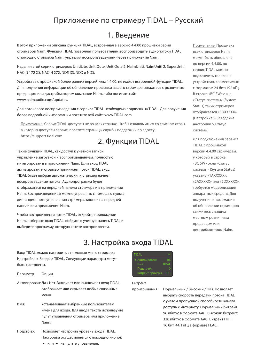### Приложение по стримеру TIDAL – Русский

#### 1. Введение

В этом приложении описана функция TIDAL, встроенная в версию 4.4.00 прошивки серии стримеров Naim. Функция TIDAL позволяет пользователям воспроизводить аудиопотоки TIDAL с помощью стримера Naim, управляя воспроизведением через приложение Naim.

Изделия этой серии стримеров: UnitiLite, UnitiQute, UnitiQute 2, NaimUniti, NaimUniti 2, SuperUniti, NAC-N 172 XS, NAC-N 272, ND5 XS, NDX и NDS.

Устройства с прошивкой более ранних версий, чем 4.4.00, не имеют встроенной функции TIDAL. Для получения информации об обновлении прошивки вашего стримера свяжитесь с розничным продавцом или дистрибьютором компании Naim, либо посетите сайт www.naimaudio.com/updates.

Для потокового воспроизведения с сервиса TIDAL необходима подписка на TIDAL. Для получения более подробной информации посетите веб-сайт: www.TIDAL.com

Примечание: Сервис TIDAL доступен не во всех странах. Чтобы ознакомиться со списком стран, в которых доступен сервис, посетите страницы службы поддержки по адресу: https://support.tidal.com

#### 2. Функции TIDAL

Такие функции TIDAL, как доступ к учетной записи, управление загрузкой и воспроизведением, полностью интегрированы в приложении Naim. Если вход TIDAL активирован, и стример принимает поток TIDAL, вход TIDAL будет выбран автоматически, и стример начнет воспроизведение потока. Аудиопрограмма будет отображаться на передней панели стримера и в приложении Naim. Воспроизведением можно управлять с помощью пульта дистанционного управления стримера, кнопок на передней панели или приложения Naim.

Чтобы воспроизвести поток TIDAL, откройте приложение Naim, выберите вход TIDAL, войдите в учетную запись TIDAL и выберите программу, которую хотите воспроизвести.

3. Настройка входа TIDAL

Вход TIDAL можно настроить с помощью меню стримера Настройка > Входы > TIDAL. Следующие параметры могут быть настроены.

Параметр Опции

Активирован: Да / Нет. Включает или выключает вход TIDAL, отображает или скрывает любые связанные меню.

- Имя: Устанавливает выбранные пользователем имена для входа. Для ввода текста используйте пульт управления стримера или приложение Naim.
- Подстр вх: Позволяет настроить уровень входа TIDAL. Настройка осуществляется с помощью кнопок  $\blacktriangledown$  или  $\blacktriangle$  на пульте управления.



#### Битрейт

проигрывания: Нормальный / Высокий / HiFi. Позволяет выбрать скорость передачи потока TIDAL с учетом пропускной способности канала доступа к Интернету. Нормальный битрейт: 96 кбит/с в формате AAC. Высокий битрейт: 320 кбит/с в формате AAC. Битрейт HiFi: 16 бит, 44,1 кГц в формате FLAC.

Примечание: Прошивка всех стримеров Naim может быть обновлена до версии 4.4.00, но сервис TIDAL можно подключить только на устройствах, совместимых с форматом 24 бит/192 кГц. В строке «BC SW» окна «Статус системы» (System Status) таких стримеров отображается «3DXXXXX» (Настройка > Заводские настройки > Статус системы).

Для подключения сервиса TIDAL с прошивкой версии 4.4.00 стримерам, у которых в строке «BC SW» окна «Статус системы» (System Status) указано «1AXXXXX», «2AXXXXX» или «2DXXXXX», требуется модернизация аппаратных средств. Для получения информации об обновлении стримеров свяжитесь с вашим местным розничным продавцом или дистрибьютором Naim.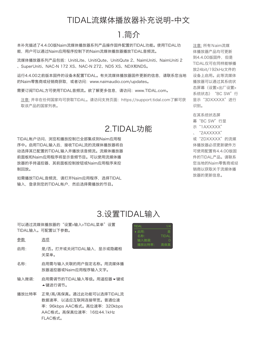### TIDAL流媒体播放器补充说明-中文

#### 1.简介

本补充描述了4.4.00版Naim流媒体播放器系列产品操作固件配置的TIDAL功能。使用TIDAL功 能,用户可以通过Naim应用程序控制下的Naim流媒体播放器播放TIDAL音频流。

流媒体播放器系列产品包括:UnitiLite、UnitiQute、UnitiQute 2、NaimUniti、NaimUniti 2 、SuperUniti、NAC-N 172 XS、NAC-N 272、ND5 XS、NDX和NDS。

运行4.4.00之前版本固件的设备未配置TIDAL。有关流媒体播放器固件更新的信息,请联系您当地 的Naim零售商或经销商获取,或者访问:www.naimaudio.com/updates。

需要订阅TIDAL方可使用TIDAL音频流。欲了解更多信息,请访问:www.TIDAL.com。

注意: 并非在任何国家均可获取TIDAL。请访问支持页面:https://support.tidal.com了解可获 取该产品的国家列表。

### 2.TIDAL功能

TIDAL帐户访问、浏览和播放控制已全部集成到Naim应用程 序中。启用TIDAL输入后,接收TIDAL流的流媒体播放器将自 动选择其已配置的TIDAL输入并播放该音频流。流媒体播放器 前面板和Naim应用程序将显示音频节目。可以使用流媒体播 放器的手持遥控器、其前面板控制按钮或Naim应用程序来控 制回放。

如需播放TIDAL音频流,请打开Naim应用程序,选择TIDAL 输入,登录到您的TIDAL帐户,然后选择需播放的节目。

注意: 所有Naim流媒 体播放器产品均可更新 到4.4.00版固件,但是 TIDAL仅可在同样能够播 放24bit/192kHz文件的 设备上启用。此等流媒体 播放器可以通过其系统状 态屏幕(设置>出厂设置> 系统状态) "BC SW"行 显示"3DXXXXX"进行 识别。

在其系统状态屏 幕"BC SW"行显 示"1AXXXXX" 、"2AXXXXX" 或"2DXXXXX"的流媒 体播放器必须更新硬件方 可使用配置有4.4.00版固 件的TIDAL产品。请联系 您当地的Naim零售商或经 销商以获取关于流媒体播 放器的更新信息。

#### 3.设置TIDAL输入

可以通过流媒体播放器的"设置>输入>TIDAL菜单"设置 TIDAL输入。可配置以下参数。

- 参数 选项
- 启用: 是/否。打开或关闭TIDAL输入,显示或隐藏相 关菜单。
- 名称: 启用需与输入关联的用户指定名称。用流媒体播 放器遥控器或Naim应用程序输入文字。
- 输入微调: 启用需调节的TIDAL输入等级。用遥控器▼键或 5键进行调节。
- 播放比特率 正常/高/高保真。通过此功能可以选择TIDAL流 数据速率,以适应互联网连接带宽。普通位速 率:96kbps AAC格式。高位速率:320kbps AAC格式。高保真位速率:16位44.1kHz FLAC格式。

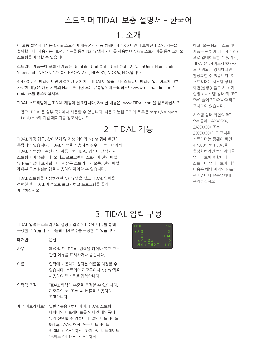# 스트리머 TIDAL 보충 설명서 – 한국어

# 1. 소개

이 보충 설명서에서는 Naim 스트리머 제품군의 작동 펌웨어 4.4.00 버전에 포함된 TIDAL 기능을 설명합니다. 사용자는 TIDAL 기능을 통해 Naim 앱의 제어를 사용하여 Naim 스트리머를 통해 오디오 스트림을 재생할 수 있습니다.

스트리머 제품군에 포함된 제품은 UnitiLite, UnitiQute, UnitiQute 2, NaimUniti, NaimUniti 2, SuperUniti, NAC-N 172 XS, NAC-N 272, ND5 XS, NDX 및 NDS입니다.

4.4.00 이전 펌웨어 버전이 설치된 장치에는 TIDAL이 없습니다. 스트리머 펌웨어 업데이트에 대한 자세한 내용은 해당 지역의 Naim 판매점 또는 유통업체에 문의하거나 www.naimaudio.com/ updates를 참조하십시오.

TIDAL 스트리밍에는 TIDAL 계정이 필요합니다. 자세한 내용은 www.TIDAL.com을 참조하십시오.

참고: TIDAL은 일부 국가에서 사용할 수 없습니다. 사용 가능한 국가의 목록은 https://support. tidal.com의 지원 페이지를 참조하십시오.

### 2. TIDAL 기능

TIDAL 계정 접근, 찾아보기 및 재생 제어가 Naim 앱에 완전히 통합되어 있습니다. TIDAL 입력을 사용하는 경우, 스트리머에서 TIDAL 스트림이 수신되면 자동으로 TIDAL 입력이 선택되고 스트림이 재생됩니다. 오디오 프로그램이 스트리머 전면 패널 및 Naim 앱에 표시됩니다. 재생은 스트리머 리모콘, 전면 패널 제어부 또는 Naim 앱을 사용하여 제어할 수 있습니다.

TIDAL 스트림을 재생하려면 Naim 앱을 열고 TIDAL 입력을 선택한 후 TIDAL 계정으로 로그인하고 프로그램을 골라 재생하십시오.

참고: 모든 Naim 스트리머 제품은 펌웨어 버전 4.4.00 으로 업데이트할 수 있지만, TIDAL은 24비트/192kHz 도 지원되는 장치에서만 활성화할 수 있습니다. 이 스트리머는 시스템 상태 화면(설정 > 출고 시 초기 설정 > 시스템 상태)의 "BC SW" 줄에 3DXXXXX라고 표시되어 있습니다.

시스템 상태 화면의 BC SW 줄에 1AXXXXX, 2AXXXXX 또는 2DXXXXX라고 표시된 스트리머는 펌웨어 버전 4.4.00으로 TIDAL을 활성화하려면 하드웨어를 업데이트해야 합니다. 스트리머 업데이트에 대한 내용은 해당 지역의 Naim 판매점이나 유통업체에 문의하십시오.

#### 3. TIDAL 입력 구성

TIDAL 입력은 스트리머의 설정 > 입력 > TIDAL 메뉴를 통해 구성할 수 있습니다. 다음의 매개변수를 구성할 수 있습니다.

| 매개변수 | 옵션 |  |
|------|----|--|
|      |    |  |

- 사용: 예/아니오. TIDAL 입력을 켜거나 끄고 모든 관련 메뉴를 표시하거나 숨깁니다.
- 이름: 입력에 사용자가 원하는 이름을 지정할 수 있습니다. 스트리머 리모콘이나 Naim 앱을 사용하여 텍스트를 입력합니다.
- 입력값 조절: TIDAL 입력의 수준을 조정할 수 있습니다. 리모콘의  $\blacktriangleright$  또는 ▲ 버튼을 사용하여 조절합니다.
- 재생 비트레이트: 일반 / 높음 / 하이파이. TIDAL 스트림 데이터의 비트레이트를 인터넷 대역폭에 맞게 선택할 수 있습니다. 일반 비트레이트: 96kbps AAC 형식. 높은 비트레이트: 320kbps AAC 형식. 하이파이 비트레이트: 16비트 44.1kHz FLAC 형식.